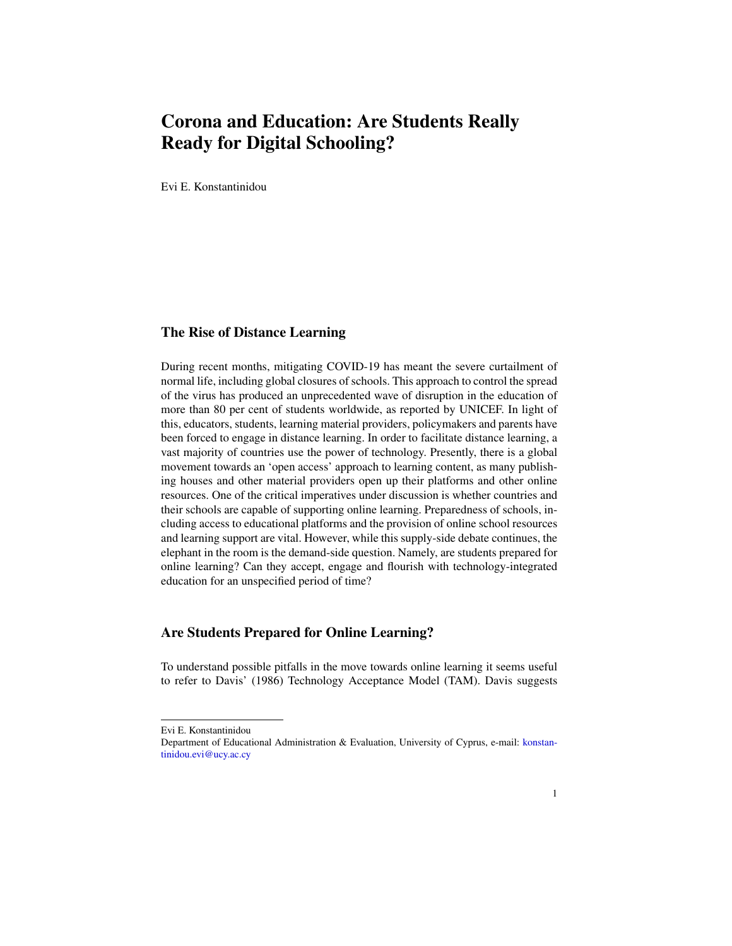# Corona and Education: Are Students Really Ready for Digital Schooling?

Evi E. Konstantinidou

### The Rise of Distance Learning

During recent months, mitigating COVID-19 has meant the severe curtailment of normal life, including global closures of schools. This approach to control the spread of the virus has produced an unprecedented wave of disruption in the education of more than 80 per cent of students worldwide, as reported by UNICEF. In light of this, educators, students, learning material providers, policymakers and parents have been forced to engage in distance learning. In order to facilitate distance learning, a vast majority of countries use the power of technology. Presently, there is a global movement towards an 'open access' approach to learning content, as many publishing houses and other material providers open up their platforms and other online resources. One of the critical imperatives under discussion is whether countries and their schools are capable of supporting online learning. Preparedness of schools, including access to educational platforms and the provision of online school resources and learning support are vital. However, while this supply-side debate continues, the elephant in the room is the demand-side question. Namely, are students prepared for online learning? Can they accept, engage and flourish with technology-integrated education for an unspecified period of time?

#### Are Students Prepared for Online Learning?

To understand possible pitfalls in the move towards online learning it seems useful to refer to Davis' (1986) Technology Acceptance Model (TAM). Davis suggests

Evi E. Konstantinidou

Department of Educational Administration & Evaluation, University of Cyprus, e-mail: [konstan](mailto:konstantinidou.evi@ucy.ac.cy)[tinidou.evi@ucy.ac.cy](mailto:konstantinidou.evi@ucy.ac.cy)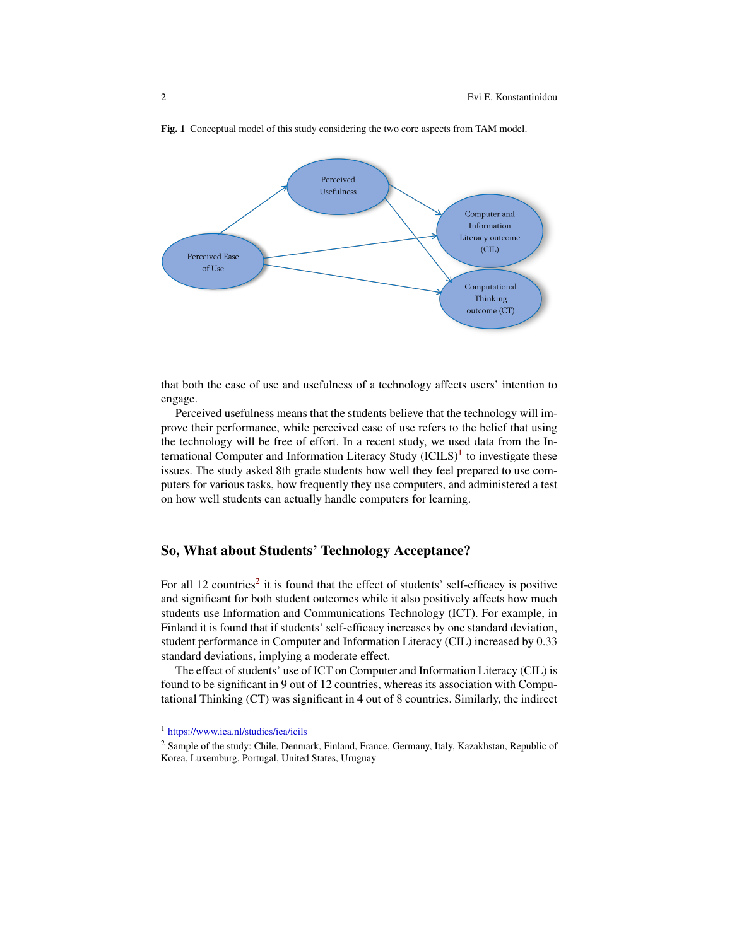

Fig. 1 Conceptual model of this study considering the two core aspects from TAM model.

that both the ease of use and usefulness of a technology affects users' intention to engage.

Perceived usefulness means that the students believe that the technology will improve their performance, while perceived ease of use refers to the belief that using the technology will be free of effort. In a recent study, we used data from the International Computer and Information Literacy Study  $(ICILS)^1$  $(ICILS)^1$  to investigate these issues. The study asked 8th grade students how well they feel prepared to use computers for various tasks, how frequently they use computers, and administered a test on how well students can actually handle computers for learning.

## So, What about Students' Technology Acceptance?

For all 1[2](#page-1-1) countries<sup>2</sup> it is found that the effect of students' self-efficacy is positive and significant for both student outcomes while it also positively affects how much students use Information and Communications Technology (ICT). For example, in Finland it is found that if students' self-efficacy increases by one standard deviation, student performance in Computer and Information Literacy (CIL) increased by 0.33 standard deviations, implying a moderate effect.

The effect of students' use of ICT on Computer and Information Literacy (CIL) is found to be significant in 9 out of 12 countries, whereas its association with Computational Thinking (CT) was significant in 4 out of 8 countries. Similarly, the indirect

<span id="page-1-0"></span><sup>1</sup> <https://www.iea.nl/studies/iea/icils>

<span id="page-1-1"></span><sup>2</sup> Sample of the study: Chile, Denmark, Finland, France, Germany, Italy, Kazakhstan, Republic of Korea, Luxemburg, Portugal, United States, Uruguay